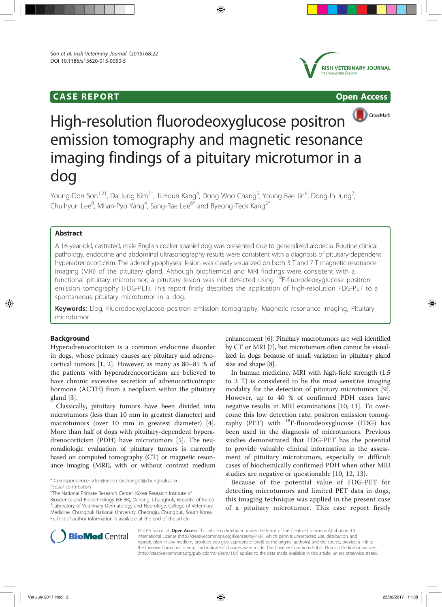# **CASE REPORT Open Access**





# High-resolution fluorodeoxyglucose positron emission tomography and magnetic resonance imaging findings of a pituitary microtumor in a dog

Young-Don Son<sup>1,2†</sup>, Da-Jung Kim<sup>3†</sup>, Ji-Houn Kang<sup>4</sup>, Dong-Woo Chang<sup>5</sup>, Young-Bae Jin<sup>6</sup>, Dong-In Jung<sup>7</sup> , Chulhyun Lee<sup>8</sup>, Mhan-Pyo Yang<sup>4</sup>, Sang-Rae Lee<sup>6\*</sup> and Byeong-Teck Kang<sup>3\*</sup>

# Abstract

A 16-year-old, castrated, male English cocker spaniel dog was presented due to generalized alopecia. Routine clinical pathology, endocrine and abdominal ultrasonography results were consistent with a diagnosis of pituitary-dependent hyperadrenocorticism. The adenohypophyseal lesion was clearly visualized on both 3 T and 7 T magnetic resonance imaging (MRI) of the pituitary gland. Although biochemical and MRI findings were consistent with a functional pituitary microtumor, a pituitary lesion was not detected using <sup>18</sup>F-fluorodeoxyglucose positron emission tomography (FDG-PET). This report firstly describes the application of high-resolution FDG-PET to a spontaneous pituitary microtumor in a dog.

Keywords: Dog, Fluorodeoxyglucose positron emission tomography, Magnetic resonance imaging, Pituitary microtumor

# Background

Hyperadrenocorticism is a common endocrine disorder in dogs, whose primary causes are pituitary and adrenocortical tumors [1, 2]. However, as many as 80–85 % of the patients with hyperadrenocorticism are believed to have chronic excessive secretion of adrenocorticotropic hormone (ACTH) from a neoplasm within the pituitary gland [3].

Classically, pituitary tumors have been divided into microtumors (less than 10 mm in greatest diameter) and macrotumors (over 10 mm in greatest diameter) [4]. More than half of dogs with pituitary-dependent hyperadrenocorticism (PDH) have microtumors [5]. The neuroradiologic evaluation of pituitary tumors is currently based on computed tomography (CT) or magnetic resonance imaging (MRI), with or without contrast medium

6 The National Primate Research Center, Korea Research Institute of Bioscience and Biotechnology (KRIBB), Ochang, Chungbuk, Republic of Korea <sup>3</sup>Laboratory of Veterinary Dermatology and Neurology, College of Veterinary Medicine, Chungbuk National University, Cheongju, Chungbuk, South Korea Full list of author information is available at the end of the article

enhancement [6]. Pituitary macrotumors are well identified by CT or MRI [7], but microtumors often cannot be visualized in dogs because of small variation in pituitary gland size and shape [8].

In human medicine, MRI with high-field strength (1.5 to 3 T) is considered to be the most sensitive imaging modality for the detection of pituitary microtumors [9]. However, up to 40 % of confirmed PDH cases have negative results in MRI examinations [10, 11]. To overcome this low detection rate, positron emission tomography (PET) with  $^{18}$ F-fluorodeoxyglucose (FDG) has been used in the diagnosis of microtumors. Previous studies demonstrated that FDG-PET has the potential to provide valuable clinical information in the assessment of pituitary microtumors, especially in difficult cases of biochemically confirmed PDH when other MRI studies are negative or questionable [10, 12, 13].

Because of the potential value of FDG-PET for detecting microtumors and limited PET data in dogs, this imaging technique was applied in the present case of a pituitary microtumor. This case report firstly



© 2015 Son et al. Open Access This article is distributed under the terms of the Creative Commons Attribution 4.0 International License (http://creativecommons.org/licenses/by/4.0/), which permits unrestricted use, distribution, and reproduction in any medium, provided you give appropriate credit to the original author(s) and the source, provide a link to the Creative Commons license, and indicate if changes were made. The Creative Commons Public Domain Dedication waiver (http://creativecommons.org/publicdomain/zero/1.0/) applies to the data made available in this article, unless otherwise stated.

<sup>\*</sup> Correspondence: srlee@kribb.re.kr; kangbt@chungbuk.ac.kr † <sup>+</sup>Equal contributors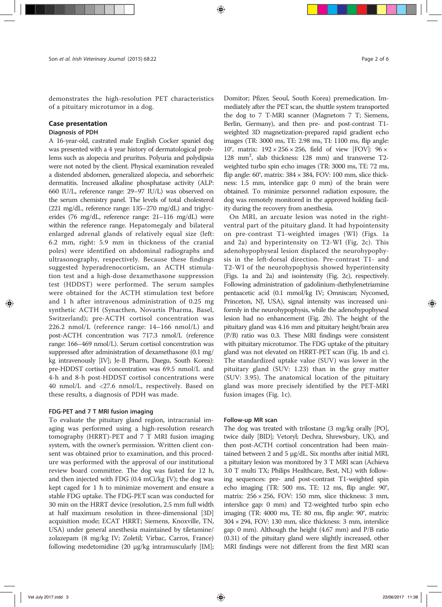demonstrates the high-resolution PET characteristics of a pituitary microtumor in a dog.

# Case presentation

# Diagnosis of PDH

A 16-year-old, castrated male English Cocker spaniel dog was presented with a 4 year history of dermatological problems such as alopecia and pruritus. Polyuria and polydipsia were not noted by the client. Physical examination revealed a distended abdomen, generalized alopecia, and seborrheic dermatitis. Increased alkaline phosphatase activity (ALP: 660 IU/L, reference range: 29–97 IU/L) was observed on the serum chemistry panel. The levels of total cholesterol (221 mg/dL, reference range: 135–270 mg/dL) and triglycerides (76 mg/dL, reference range: 21–116 mg/dL) were within the reference range. Hepatomegaly and bilateral enlarged adrenal glands of relatively equal size (left: 6.2 mm, right: 5.9 mm in thickness of the cranial poles) were identified on abdominal radiographs and ultrasonography, respectively. Because these findings suggested hyperadrenocorticism, an ACTH stimulation test and a high-dose dexamethasone suppression test (HDDST) were performed. The serum samples were obtained for the ACTH stimulation test before and 1 h after intravenous administration of 0.25 mg synthetic ACTH (Synacthen, Novartis Pharma, Basel, Switzerland); pre-ACTH cortisol concentration was 226.2 nmol/L (reference range: 14–166 nmol/L) and post-ACTH concentration was 717.3 nmol/L (reference range: 166–469 nmol/L). Serum cortisol concentration was suppressed after administration of dexamethasone (0.1 mg/ kg intravenously [IV]; Je-Il Pharm, Daegu, South Korea): pre-HDDST cortisol concentration was 69.5 nmol/L and 4-h and 8-h post-HDDST cortisol concentrations were 40 nmol/L and <27.6 nmol/L, respectively. Based on these results, a diagnosis of PDH was made.

### FDG-PET and 7 T MRI fusion imaging

To evaluate the pituitary gland region, intracranial imaging was performed using a high-resolution research tomography (HRRT)-PET and 7 T MRI fusion imaging system, with the owner's permission. Written client consent was obtained prior to examination, and this procedure was performed with the approval of our institutional review board committee. The dog was fasted for 12 h, and then injected with FDG (0.4 mCi/kg IV); the dog was kept caged for 1 h to minimize movement and ensure a stable FDG uptake. The FDG-PET scan was conducted for 30 min on the HRRT device (resolution, 2.5 mm full width at half maximum resolution in three-dimensional [3D] acquisition mode; ECAT HRRT; Siemens, Knoxville, TN, USA) under general anesthesia maintained by tiletamine/ zolazepam (8 mg/kg IV; Zoletil; Virbac, Carros, France) following medetomidine (20 μg/kg intramuscularly [IM];

Domitor; Pfizer, Seoul, South Korea) premedication. Immediately after the PET scan, the shuttle system transported the dog to 7 T-MRI scanner (Magnetom 7 T; Siemens, Berlin, Germany), and then pre- and post-contrast T1 weighted 3D magnetization-prepared rapid gradient echo images (TR: 3000 ms, TE: 2.98 ms, TI: 1100 ms, flip angle: 10°, matrix:  $192 \times 256 \times 256$ , field of view [FOV]:  $96 \times$ 128 mm2 , slab thickness: 128 mm) and transverse T2 weighted turbo spin echo images (TR: 3000 ms, TE: 72 ms, flip angle:  $60^\circ$ , matrix:  $384 \times 384$ , FOV: 100 mm, slice thickness: 1.5 mm, interslice gap: 0 mm) of the brain were obtained. To minimize personnel radiation exposure, the dog was remotely monitored in the approved holding facility during the recovery from anesthesia.

On MRI, an arcuate lesion was noted in the rightventral part of the pituitary gland. It had hypointensity on pre-contrast T1-weighted images (WI) (Figs. 1a and 2a) and hyperintensity on T2-WI (Fig. 2c). This adenohypophyseal lesion displaced the neurohypophysis in the left-dorsal direction. Pre-contrast T1- and T2-WI of the neurohypophysis showed hyperintensity (Figs. 1a and 2a) and isointensity (Fig. 2c), respectively. Following administration of gadolinium-diethylenetriamine pentaacetic acid (0.1 mmol/kg IV; Omniscan; Nycomed, Princeton, NJ, USA), signal intensity was increased uniformly in the neurohypophysis, while the adenohypophyseal lesion had no enhancement (Fig. 2b). The height of the pituitary gland was 4.16 mm and pituitary height/brain area (P/B) ratio was 0.3. These MRI findings were consistent with pituitary microtumor. The FDG uptake of the pituitary gland was not elevated on HRRT-PET scan (Fig. 1b and c). The standardized uptake value (SUV) was lower in the pituitary gland (SUV: 1.23) than in the gray matter (SUV: 3.95). The anatomical location of the pituitary gland was more precisely identified by the PET-MRI fusion images (Fig. 1c).

#### Follow-up MR scan

The dog was treated with trilostane (3 mg/kg orally [PO], twice daily [BID]; Vetoryl; Dechra, Shrewsbury, UK), and then post-ACTH cortisol concentration had been maintained between 2 and 5 μg/dL. Six months after initial MRI, a pituitary lesion was monitored by 3 T MRI scan (Achieva 3.0 T multi TX; Philips Healthcare, Best, NL) with following sequences: pre- and post-contrast T1-weighted spin echo imaging (TR: 500 ms, TE: 12 ms, flip angle: 90°, matrix: 256 × 256, FOV: 150 mm, slice thickness: 3 mm, interslice gap: 0 mm) and T2-weighted turbo spin echo imaging (TR: 4000 ms, TE: 80 ms, flip angle: 90°, matrix: 304 × 294, FOV: 130 mm, slice thickness: 3 mm, interslice gap: 0 mm). Although the height (4.67 mm) and P/B ratio (0.31) of the pituitary gland were slightly increased, other MRI findings were not different from the first MRI scan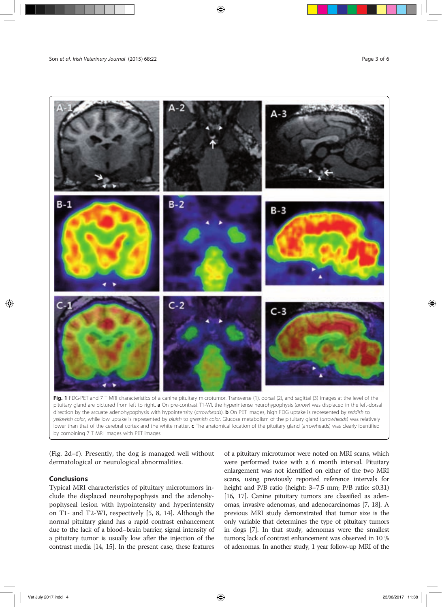

Fig. 1 FDG-PET and 7 T MRI characteristics of a canine pituitary microtumor. Transverse (1), dorsal (2), and sagittal (3) images at the level of the pituitary gland are pictured from left to right. a On pre-contrast T1-WI, the hyperintense neurohypophysis (arrow) was displaced in the left-dorsal direction by the arcuate adenohypophysis with hypointensity (arrowheads). **b** On PET images, high FDG uptake is represented by reddish to yellowish color, while low uptake is represented by bluish to greenish color. Glucose metabolism of the pituitary gland (arrowheads) was relatively lower than that of the cerebral cortex and the white matter. c The anatomical location of the pituitary gland (arrowheads) was clearly identified by combining 7 T MRI images with PET images

(Fig.  $2d-f$ ). Presently, the dog is managed well without dermatological or neurological abnormalities.

#### **Conclusions**

Typical MRI characteristics of pituitary microtumors include the displaced neurohypophysis and the adenohypophyseal lesion with hypointensity and hyperintensity on T1- and T2-WI, respectively [5, 8, 14]. Although the normal pituitary gland has a rapid contrast enhancement due to the lack of a blood–brain barrier, signal intensity of a pituitary tumor is usually low after the injection of the contrast media [14, 15]. In the present case, these features

of a pituitary microtumor were noted on MRI scans, which were performed twice with a 6 month interval. Pituitary enlargement was not identified on either of the two MRI scans, using previously reported reference intervals for height and P/B ratio (height: 3–7.5 mm; P/B ratio: ≤0.31) [16, 17]. Canine pituitary tumors are classified as adenomas, invasive adenomas, and adenocarcinomas [7, 18]. A previous MRI study demonstrated that tumor size is the only variable that determines the type of pituitary tumors in dogs [7]. In that study, adenomas were the smallest tumors; lack of contrast enhancement was observed in 10 % of adenomas. In another study, 1 year follow-up MRI of the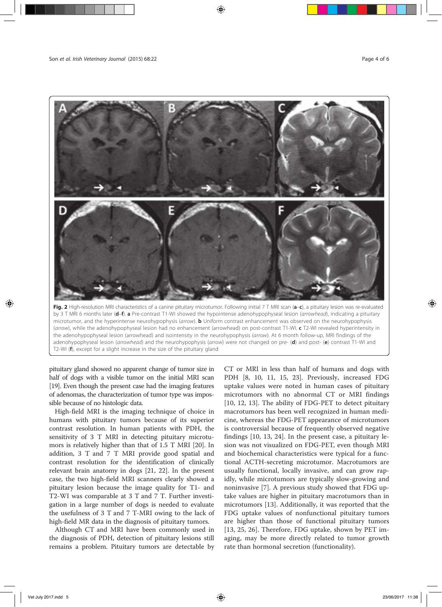

microtumor, and the hyperintense neurohypophysis (arrow). **b** Uniform contrast enhancement was observed on the neurohypophysis (arrow), while the adenohypophyseal lesion had no enhancement (arrowhead) on post-contrast T1-WI. c T2-WI revealed hyperintensity in the adenohypophyseal lesion (arrowhead) and isointensity in the neurohypophysis (arrow). At 6 month follow-up, MRI findings of the adenohypophyseal lesion (arrowhead) and the neurohypophysis (arrow) were not changed on pre- (d) and post- (e) contrast T1-WI and T2-WI (f), except for a slight increase in the size of the pituitary gland

pituitary gland showed no apparent change of tumor size in half of dogs with a visible tumor on the initial MRI scan [19]. Even though the present case had the imaging features of adenomas, the characterization of tumor type was impossible because of no histologic data.

High-field MRI is the imaging technique of choice in humans with pituitary tumors because of its superior contrast resolution. In human patients with PDH, the sensitivity of 3 T MRI in detecting pituitary microtumors is relatively higher than that of 1.5 T MRI [20]. In addition, 3 T and 7 T MRI provide good spatial and contrast resolution for the identification of clinically relevant brain anatomy in dogs [21, 22]. In the present case, the two high-field MRI scanners clearly showed a pituitary lesion because the image quality for T1- and T2-WI was comparable at 3 T and 7 T. Further investigation in a large number of dogs is needed to evaluate the usefulness of 3 T and 7 T-MRI owing to the lack of high-field MR data in the diagnosis of pituitary tumors.

Although CT and MRI have been commonly used in the diagnosis of PDH, detection of pituitary lesions still remains a problem. Pituitary tumors are detectable by

CT or MRI in less than half of humans and dogs with PDH [8, 10, 11, 15, 23]. Previously, increased FDG uptake values were noted in human cases of pituitary microtumors with no abnormal CT or MRI findings [10, 12, 13]. The ability of FDG-PET to detect pituitary macrotumors has been well recognized in human medicine, whereas the FDG-PET appearance of microtumors is controversial because of frequently observed negative findings [10, 13, 24]. In the present case, a pituitary lesion was not visualized on FDG-PET, even though MRI and biochemical characteristics were typical for a functional ACTH-secreting microtumor. Macrotumors are usually functional, locally invasive, and can grow rapidly, while microtumors are typically slow-growing and noninvasive [7]. A previous study showed that FDG uptake values are higher in pituitary macrotumors than in microtumors [13]. Additionally, it was reported that the FDG uptake values of nonfunctional pituitary tumors are higher than those of functional pituitary tumors [13, 25, 26]. Therefore, FDG uptake, shown by PET imaging, may be more directly related to tumor growth rate than hormonal secretion (functionality).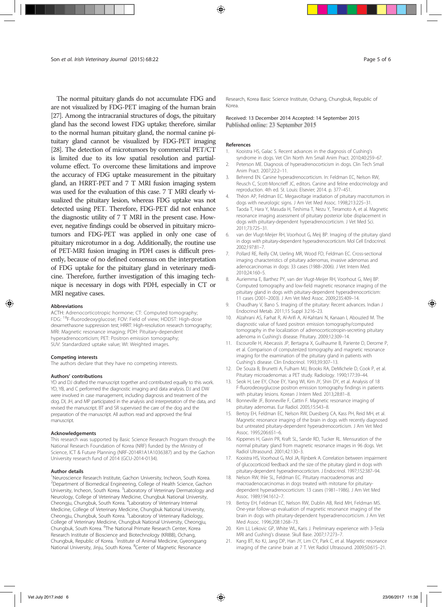The normal pituitary glands do not accumulate FDG and are not visualized by FDG-PET imaging of the human brain [27]. Among the intracranial structures of dogs, the pituitary gland has the second lowest FDG uptake; therefore, similar to the normal human pituitary gland, the normal canine pituitary gland cannot be visualized by FDG-PET imaging [28]. The detection of microtumors by commercial PET/CT is limited due to its low spatial resolution and partialvolume effect. To overcome these limitations and improve the accuracy of FDG uptake measurement in the pituitary gland, an HRRT-PET and 7 T MRI fusion imaging system was used for the evaluation of this case. 7 T MRI clearly visualized the pituitary lesion, whereas FDG uptake was not detected using PET. Therefore, FDG-PET did not enhance the diagnostic utility of 7 T MRI in the present case. However, negative findings could be observed in pituitary microtumors and FDG-PET was applied in only one case of pituitary microtumor in a dog. Additionally, the routine use of PET-MRI fusion imaging in PDH cases is difficult presently, because of no defined consensus on the interpretation of FDG uptake for the pituitary gland in veterinary medicine. Therefore, further investigation of this imaging technique is necessary in dogs with PDH, especially in CT or MRI negative cases.

#### Abbreviations

ACTH: Adrenocorticotropic hormone; CT: Computed tomography; FDG: 18F-fluorodeoxyglucose; FOV: Field of view; HDDST: High-dose dexamethasone suppression test; HRRT: High-resolution research tomography; MRI: Magnetic resonance imaging; PDH: Pituitary-dependent hyperadrenocorticism; PET: Positron emission tomography; SUV: Standardized uptake value; WI: Weighted images.

#### Competing interests

The authors declare that they have no competing interests.

#### Authors' contributions

YD and DJ drafted the manuscript together and contributed equally to this work. YD, YB, and C performed the diagnostic imaging and data analysis. DJ and DW were involved in case management, including diagnosis and treatment of the dog. DI, JH, and MP participated in the analysis and interpretation of the data, and revised the manuscript. BT and SR supervised the care of the dog and the preparation of the manuscript. All authors read and approved the final manuscript.

#### Acknowledgements

This research was supported by Basic Science Research Program through the National Research Foundation of Korea (NRF) funded by the Ministry of Science, ICT & Future Planning (NRF-2014R1A1A1036387) and by the Gachon University research fund of 2014 (GCU-2014-0134).

#### Author details

<sup>1</sup>Neuroscience Research Institute, Gachon University, Incheon, South Korea. <sup>2</sup>Department of Biomedical Engineering, College of Health Science, Gachon University, Incheon, South Korea. <sup>3</sup> Laboratory of Veterinary Dermatology and Neurology, College of Veterinary Medicine, Chungbuk National University, Cheongju, Chungbuk, South Korea. <sup>4</sup> Laboratory of Veterinary Internal Medicine, College of Veterinary Medicine, Chungbuk National University, Cheongju, Chungbuk, South Korea. <sup>5</sup>Laboratory of Veterinary Radiology, College of Veterinary Medicine, Chungbuk National University, Cheongju, Chungbuk, South Korea. <sup>6</sup>The National Primate Research Center, Korea Research Institute of Bioscience and Biotechnology (KRIBB), Ochang, Chungbuk, Republic of Korea. <sup>7</sup>Institute of Animal Medicine, Gyeongsang National University, Jinju, South Korea. <sup>8</sup>Center of Magnetic Resonance

Research, Korea Basic Science Institute, Ochang, Chungbuk, Republic of Korea.

Received: 13 December 2014 Accepted: 14 September 2015 Published online: 23 September 2015

#### References

- 1. Kooistra HS, Galac S. Recent advances in the diagnosis of Cushing's syndrome in dogs. Vet Clin North Am Small Anim Pract. 2010;40:259–67.
- 2. Peterson ME. Diagnosis of hyperadrenocorticism in dogs. Clin Tech Small Anim Pract. 2007;22:2–11.
- 3. Behrend EN. Canine hyperadrenocorticism. In: Feldman EC, Nelson RW, Reusch C, Scott-Moncrieff JC, editors. Canine and feline endocrinology and reproduction. 4th ed. St. Louis: Elsevier; 2014. p. 377–451.
- 4. Théon AP, Feldman EC. Megavoltage irradiation of pituitary macrotumors in dogs with neurologic signs. J Am Vet Med Assoc. 1998;213:225–31.
- 5. Taoda T, Hara Y, Masuda H, Teshima T, Nezu Y, Teramoto A, et al. Magnetic resonance imaging assessment of pituitary posterior lobe displacement in dogs with pituitary-dependent hyperadrenocorticism. J Vet Med Sci. 2011;73:725–31.
- 6. van der Vlugt-Meijer RH, Voorhout G, Meij BP. Imaging of the pituitary gland in dogs with pituitary-dependent hyperadrenocorticism. Mol Cell Endocrinol. 2002;197:81–7.
- 7. Pollard RE, Reilly CM, Uerling MR, Wood FD, Feldman EC. Cross-sectional imaging characteristics of pituitary adenomas, invasive adenomas and adenocarcinomas in dogs: 33 cases (1988–2006). J Vet Intern Med. 2010;24:160–5.
- 8. Auriemma E, Barthez PY, van der Vlugt-Meijer RH, Voorhout G, Meij BP. Computed tomography and low-field magnetic resonance imaging of the pituitary gland in dogs with pituitary-dependent hyperadrenocorticism: 11 cases (2001–2003). J Am Vet Med Assoc. 2009;235:409–14.
- 9. Chaudhary V, Bano S. Imaging of the pituitary: Recent advances. Indian J Endocrinol Metab. 2011;15 Suppl 3:216–23.
- 10. Alzahrani AS, Farhat R, Al-Arifi A, Al-Kahtani N, Kanaan I, Abouzied M. The diagnostic value of fused positron emission tomography/computed tomography in the localization of adrenocorticotropin-secreting pituitary adenoma in Cushing's disease. Pituitary. 2009;12:309–14.
- 11. Escourolle H, Abecassis JP, Bertagna X, Guilhaume B, Pariente D, Derome P, et al. Comparison of computerized tomography and magnetic resonance imaging for the examination of the pituitary gland in patients with Cushing's disease. Clin Endocrinol. 1993;39:307–13.
- 12. De Souza B, Brunetti A, Fulham MJ, Brooks RA, DeMichele D, Cook P, et al. Pituitary microadenomas: a PET study. Radiology. 1990;177:39–44.
- 13. Seok H, Lee EY, Choe EY, Yang WI, Kim JY, Shin DY, et al. Analysis of 18 F-fluorodeoxyglucose positron emission tomography findings in patients with pituitary lesions. Korean J Intern Med. 2013;28:81–8.
- 14. Bonneville JF, Bonneville F, Cattin F. Magnetic resonance imaging of pituitary adenomas. Eur Radiol. 2005;15:543–8.
- 15. Bertoy EH, Feldman EC, Nelson RW, Duesberg CA, Kass PH, Reid MH, et al. Magnetic resonance imaging of the brain in dogs with recently diagnosed but untreated pituitary-dependent hyperadrenocorticism. J Am Vet Med Assoc. 1995;206:651–6.
- 16. Kippenes H, Gavin PR, Kraft SL, Sande RD, Tucker RL. Mensuration of the normal pituitary gland from magnetic resonance images in 96 dogs. Vet Radiol Ultrasound. 2001;42:130–3.
- 17. Kooistra HS, Voorhout G, Mol JA, Rijnberk A. Correlation between impairment of glucocorticoid feedback and the size of the pituitary gland in dogs with pituitary-dependent hyperadrenocorticism. J Endocrinol. 1997;152:387–94.
- 18. Nelson RW, Ihle SL, Feldman EC. Pituitary macroadenomas and macroadenocarcinomas in dogs treated with mitotane for pituitarydependent hyperadrenocorticism: 13 cases (1981–1986). J Am Vet Med Assoc. 1989;194:1612–7.
- 19. Bertoy EH, Feldman EC, Nelson RW, Dublin AB, Reid MH, Feldman MS. One-year follow-up evaluation of magnetic resonance imaging of the brain in dogs with pituitary-dependent hyperadrenocorticism. J Am Vet Med Assoc. 1996;208:1268–73.
- 20. Kim LJ, Lekovic GP, White WL, Karis J. Preliminary experience with 3-Tesla MRI and Cushing's disease. Skull Base. 2007;17:273–7.
- 21. Kang BT, Ko KJ, Jang DP, Han JY, Lim CY, Park C, et al. Magnetic resonance imaging of the canine brain at 7 T. Vet Radiol Ultrasound. 2009;50:615–21.